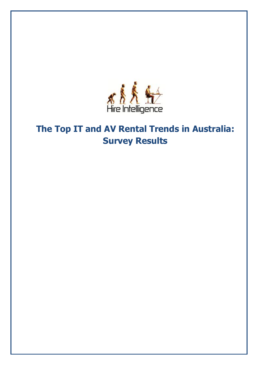

# **The Top IT and AV Rental Trends in Australia: Survey Results**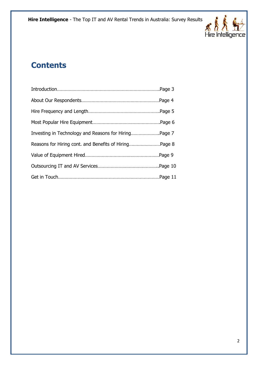

#### **Contents**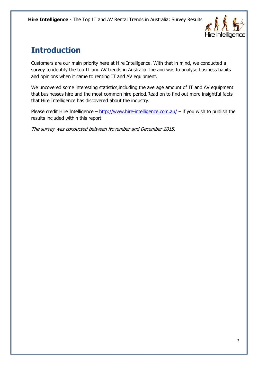

# **Introduction**

Customers are our main priority here at Hire Intelligence. With that in mind, we conducted a survey to identify the top IT and AV trends in Australia.The aim was to analyse business habits and opinions when it came to renting IT and AV equipment.

We uncovered some interesting statistics,including the average amount of IT and AV equipment that businesses hire and the most common hire period.Read on to find out more insightful facts that Hire Intelligence has discovered about the industry.

Please credit Hire Intelligence –  $\frac{http://www.hire-intelligence.com.au/}{http://www.hire-intelligence.com.au/}$  $\frac{http://www.hire-intelligence.com.au/}{http://www.hire-intelligence.com.au/}$  $\frac{http://www.hire-intelligence.com.au/}{http://www.hire-intelligence.com.au/}$  – if you wish to publish the results included within this report.

The survey was conducted between November and December 2015.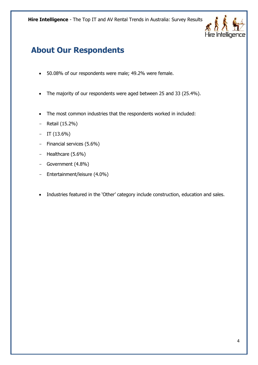

# **About Our Respondents**

- 50.08% of our respondents were male; 49.2% were female.
- The majority of our respondents were aged between 25 and 33 (25.4%).
- The most common industries that the respondents worked in included:
- Retail (15.2%)
- $-$  IT (13.6%)
- Financial services (5.6%)
- Healthcare (5.6%)
- Government (4.8%)
- Entertainment/leisure (4.0%)
- Industries featured in the 'Other' category include construction, education and sales.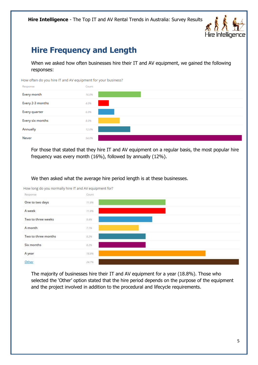

## **Hire Frequency and Length**

When we asked how often businesses hire their IT and AV equipment, we gained the following responses:

How often do you hire IT and AV equipment for your business?



For those that stated that they hire IT and AV equipment on a regular basis, the most popular hire frequency was every month (16%), followed by annually (12%).

We then asked what the average hire period length is at these businesses.

How long do you normally hire IT and AV equipment for?



The majority of businesses hire their IT and AV equipment for a year (18.8%). Those who selected the 'Other' option stated that the hire period depends on the purpose of the equipment and the project involved in addition to the procedural and lifecycle requirements.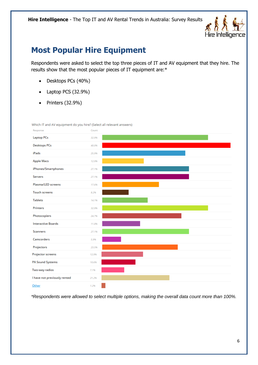

#### **Most Popular Hire Equipment**

Respondents were asked to select the top three pieces of IT and AV equipment that they hire. The results show that the most popular pieces of IT equipment are:\*

- Desktops PCs (40%)
- Laptop PCS (32.9%)
- $\bullet$  Printers (32.9%)

Which IT and AV equipment do you hire? (Select all relevant answers)



*\*Respondents were allowed to select multiple options, making the overall data count more than 100%.*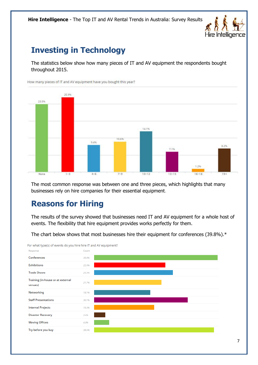

#### **Investing in Technology**

The statistics below show how many pieces of IT and AV equipment the respondents bought throughout 2015.



The most common response was between one and three pieces, which highlights that many businesses rely on hire companies for their essential equipment.

#### **Reasons for Hiring**

The results of the survey showed that businesses need IT and AV equipment for a whole host of events. The flexibility that hire equipment provides works perfectly for them.

The chart below shows that most businesses hire their equipment for conferences (39.8%).\*



For what type(s) of events do you hire hire IT and AV equipment?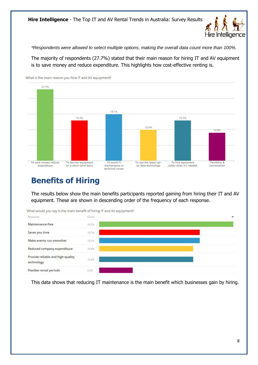

*\*Respondents were allowed to select multiple options, making the overall data count more than 100%.*

The majority of respondents (27.7%) stated that their main reason for hiring IT and AV equipment is to save money and reduce expenditure. This highlights how cost-effective renting is.



**Benefits of Hiring**

The results below show the main benefits participants reported gaining from hiring their IT and AV equipment. These are shown in descending order of the frequency of each response.



This data shows that reducing IT maintenance is the main benefit which businesses gain by hiring.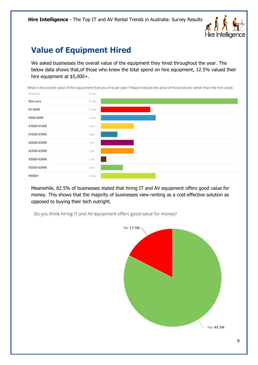

## **Value of Equipment Hired**

We asked businesses the overall value of the equipment they hired throughout the year. The below data shows that,of those who knew the total spend on hire equipment, 12.5% valued their hire equipment at \$5,000+.

What is the overall value of the equipment that you hire per year? Please indicate the price of the products rather than the hire value.



Meanwhile, 82.5% of businesses stated that hiring IT and AV equipment offers good value for money. This shows that the majority of businesses view renting as a cost-effective solution as opposed to buying their tech outright.

Do you think hiring IT and AV equipment offers good value for money?

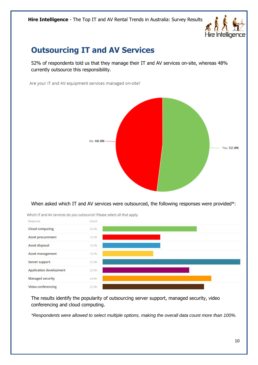

### **Outsourcing IT and AV Services**

52% of respondents told us that they manage their IT and AV services on-site, whereas 48% currently outsource this responsibility.

Are your IT and AV equipment services managed on-site?



When asked which IT and AV services were outsourced, the following responses were provided\*:



Which IT and AV services do you outsource? Please select all that apply.

The results identify the popularity of outsourcing server support, managed security, video conferencing and cloud computing.

*\*Respondents were allowed to select multiple options, making the overall data count more than 100%.*